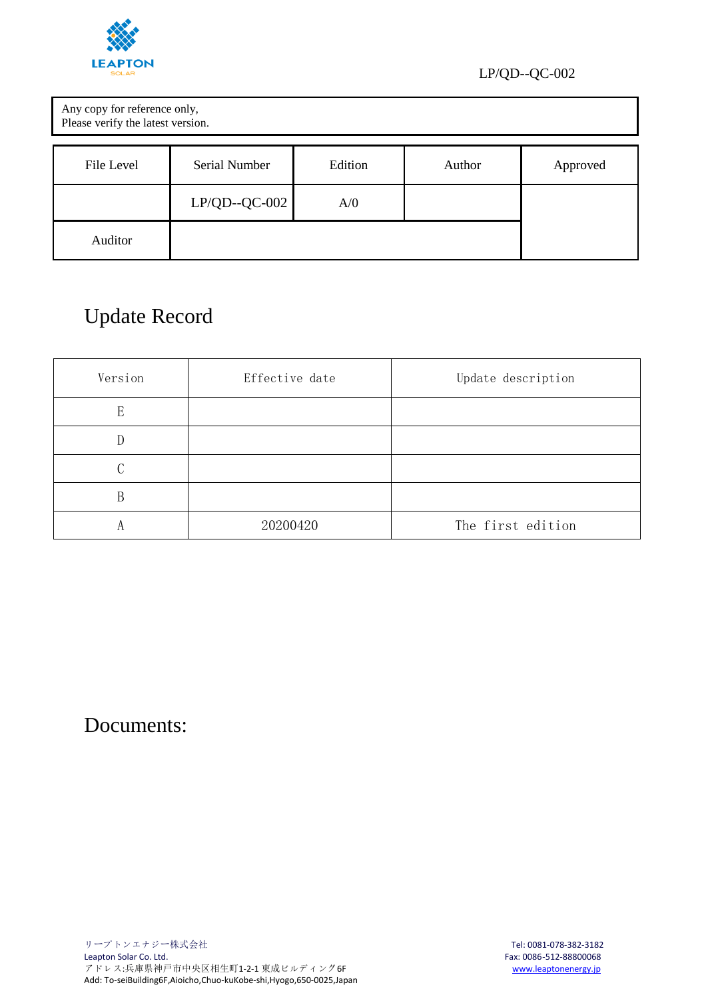

| Any copy for reference only,<br>Please verify the latest version. |                      |         |        |          |
|-------------------------------------------------------------------|----------------------|---------|--------|----------|
| File Level                                                        | <b>Serial Number</b> | Edition | Author | Approved |
|                                                                   | $LP/QD-QC-002$       | A/0     |        |          |
| Auditor                                                           |                      |         |        |          |

## Update Record

| Version | Effective date | Update description |  |
|---------|----------------|--------------------|--|
| E       |                |                    |  |
| D       |                |                    |  |
|         |                |                    |  |
| В       |                |                    |  |
| A       | 20200420       | The first edition  |  |

Documents: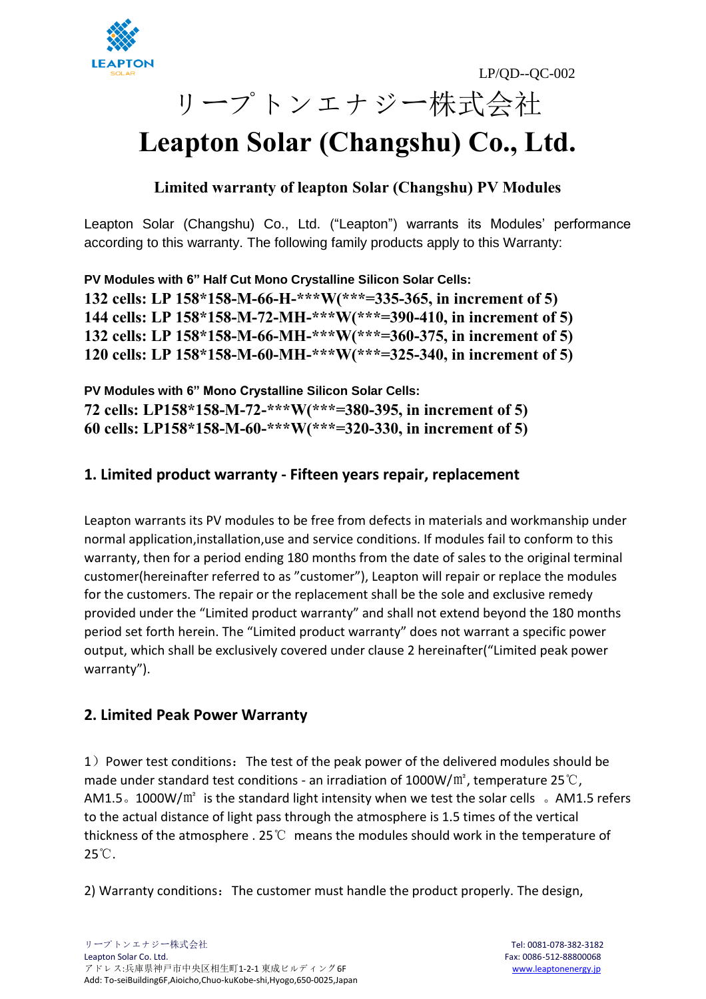



# リープトンエナジー株式会社

## **Leapton Solar (Changshu) Co., Ltd.**

## **Limited warranty of leapton Solar (Changshu) PV Modules**

Leapton Solar (Changshu) Co., Ltd. ("Leapton") warrants its Modules' performance according to this warranty. The following family products apply to this Warranty:

**PV Modules with 6" Half Cut Mono Crystalline Silicon Solar Cells: 132 cells: LP 158\*158-M-66-H-\*\*\*W(\*\*\*=335-365, in increment of 5) 144 cells: LP 158\*158-M-72-MH-\*\*\*W(\*\*\*=390-410, in increment of 5) 132 cells: LP 158\*158-M-66-MH-\*\*\*W(\*\*\*=360-375, in increment of 5) 120 cells: LP 158\*158-M-60-MH-\*\*\*W(\*\*\*=325-340, in increment of 5)**

**PV Modules with 6" Mono Crystalline Silicon Solar Cells: 72 cells: LP158\*158-M-72-\*\*\*W(\*\*\*=380-395, in increment of 5) 60 cells: LP158\*158-M-60-\*\*\*W(\*\*\*=320-330, in increment of 5)**

## **1. Limited product warranty - Fifteen years repair, replacement**

Leapton warrants its PV modules to be free from defects in materials and workmanship under normal application,installation,use and service conditions. If modules fail to conform to this warranty, then for a period ending 180 months from the date of sales to the original terminal customer(hereinafter referred to as "customer"), Leapton will repair or replace the modules for the customers. The repair or the replacement shall be the sole and exclusive remedy provided under the "Limited product warranty" and shall not extend beyond the 180 months period set forth herein. The "Limited product warranty" does not warrant a specific power output, which shall be exclusively covered under clause 2 hereinafter("Limited peak power warranty").

## **2. Limited Peak Power Warranty**

1) Power test conditions: The test of the peak power of the delivered modules should be made under standard test conditions - an irradiation of 1000W/ $m^2$ , temperature 25°C, AM1.5。1000W/ $m^2$  is the standard light intensity when we test the solar cells 。AM1.5 refers to the actual distance of light pass through the atmosphere is 1.5 times of the vertical thickness of the atmosphere . 25℃ means the modules should work in the temperature of 25℃.

2) Warranty conditions: The customer must handle the product properly. The design,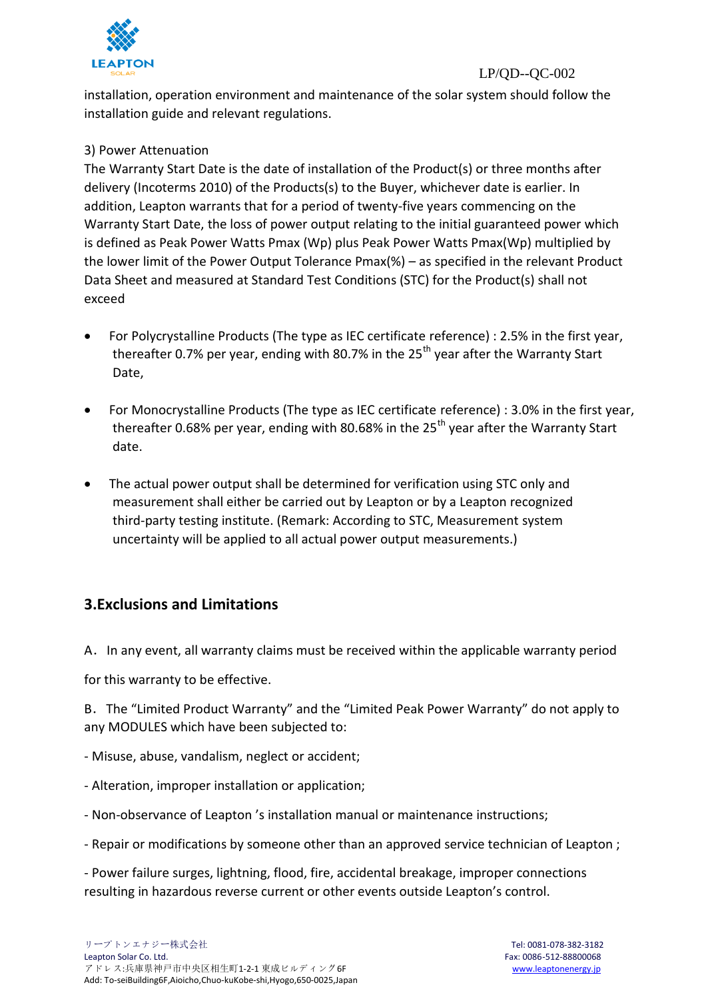

installation, operation environment and maintenance of the solar system should follow the installation guide and relevant regulations.

#### 3) Power Attenuation

The Warranty Start Date is the date of installation of the Product(s) or three months after delivery (Incoterms 2010) of the Products(s) to the Buyer, whichever date is earlier. In addition, Leapton warrants that for a period of twenty-five years commencing on the Warranty Start Date, the loss of power output relating to the initial guaranteed power which is defined as Peak Power Watts Pmax (Wp) plus Peak Power Watts Pmax(Wp) multiplied by the lower limit of the Power Output Tolerance Pmax(%) – as specified in the relevant Product Data Sheet and measured at Standard Test Conditions (STC) for the Product(s) shall not exceed

- For Polycrystalline Products (The type as IEC certificate reference) : 2.5% in the first year, thereafter 0.7% per year, ending with 80.7% in the 25<sup>th</sup> year after the Warranty Start Date,
- For Monocrystalline Products (The type as IEC certificate reference) : 3.0% in the first year, thereafter 0.68% per year, ending with 80.68% in the 25<sup>th</sup> year after the Warranty Start date.
- The actual power output shall be determined for verification using STC only and measurement shall either be carried out by Leapton or by a Leapton recognized third-party testing institute. (Remark: According to STC, Measurement system uncertainty will be applied to all actual power output measurements.)

## **3.Exclusions and Limitations**

A.In any event, all warranty claims must be received within the applicable warranty period

for this warranty to be effective.

B.The "Limited Product Warranty" and the "Limited Peak Power Warranty" do not apply to any MODULES which have been subjected to:

- Misuse, abuse, vandalism, neglect or accident;
- Alteration, improper installation or application;
- Non-observance of Leapton 's installation manual or maintenance instructions;
- Repair or modifications by someone other than an approved service technician of Leapton ;

- Power failure surges, lightning, flood, fire, accidental breakage, improper connections resulting in hazardous reverse current or other events outside Leapton's control.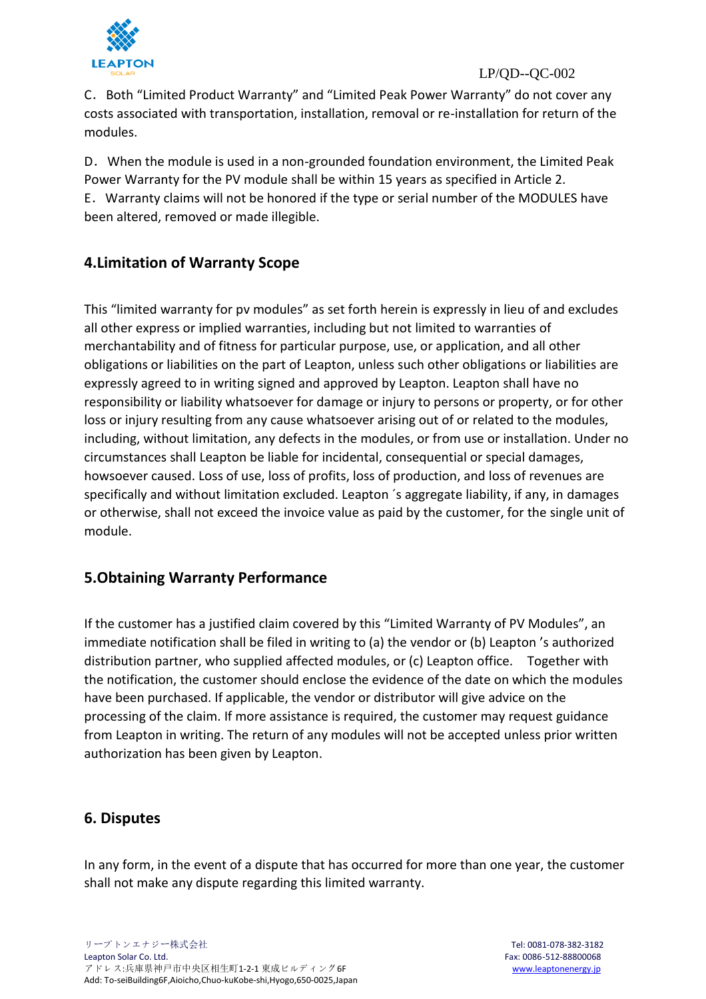

#### LP/QD--QC-002

C.Both "Limited Product Warranty" and "Limited Peak Power Warranty" do not cover any costs associated with transportation, installation, removal or re-installation for return of the modules.

D.When the module is used in a non-grounded foundation environment, the Limited Peak Power Warranty for the PV module shall be within 15 years as specified in Article 2. E.Warranty claims will not be honored if the type or serial number of the MODULES have been altered, removed or made illegible.

## **4.Limitation of Warranty Scope**

This "limited warranty for pv modules" as set forth herein is expressly in lieu of and excludes all other express or implied warranties, including but not limited to warranties of merchantability and of fitness for particular purpose, use, or application, and all other obligations or liabilities on the part of Leapton, unless such other obligations or liabilities are expressly agreed to in writing signed and approved by Leapton. Leapton shall have no responsibility or liability whatsoever for damage or injury to persons or property, or for other loss or injury resulting from any cause whatsoever arising out of or related to the modules, including, without limitation, any defects in the modules, or from use or installation. Under no circumstances shall Leapton be liable for incidental, consequential or special damages, howsoever caused. Loss of use, loss of profits, loss of production, and loss of revenues are specifically and without limitation excluded. Leapton ´s aggregate liability, if any, in damages or otherwise, shall not exceed the invoice value as paid by the customer, for the single unit of module.

## **5.Obtaining Warranty Performance**

If the customer has a justified claim covered by this "Limited Warranty of PV Modules", an immediate notification shall be filed in writing to (a) the vendor or (b) Leapton 's authorized distribution partner, who supplied affected modules, or (c) Leapton office. Together with the notification, the customer should enclose the evidence of the date on which the modules have been purchased. If applicable, the vendor or distributor will give advice on the processing of the claim. If more assistance is required, the customer may request guidance from Leapton in writing. The return of any modules will not be accepted unless prior written authorization has been given by Leapton.

## **6. Disputes**

In any form, in the event of a dispute that has occurred for more than one year, the customer shall not make any dispute regarding this limited warranty.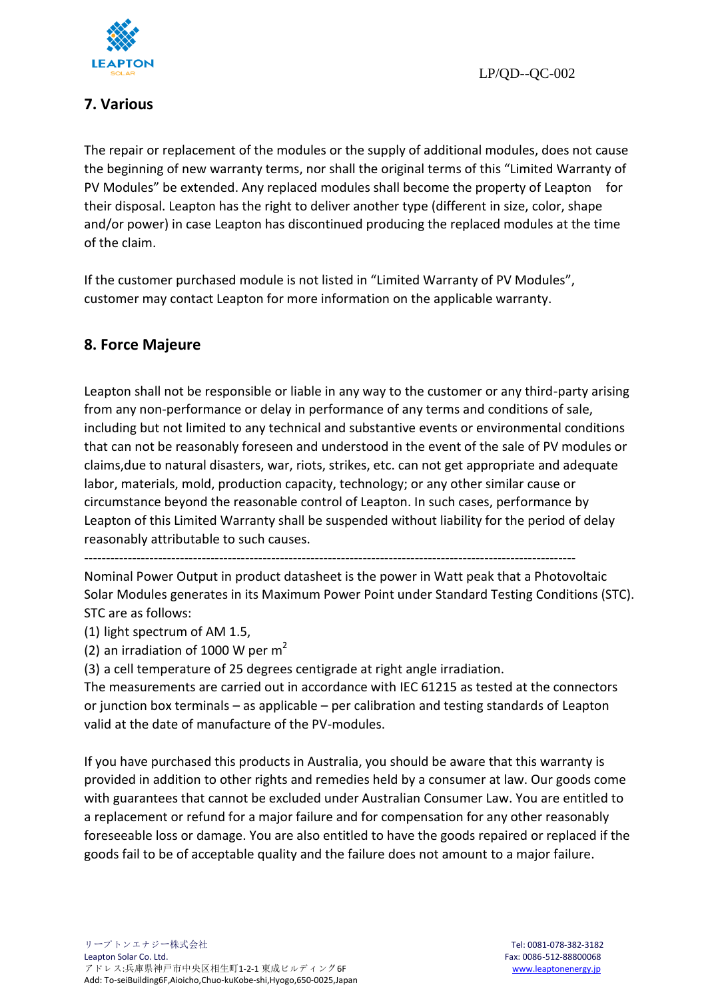

## **7. Various**

The repair or replacement of the modules or the supply of additional modules, does not cause the beginning of new warranty terms, nor shall the original terms of this "Limited Warranty of PV Modules" be extended. Any replaced modules shall become the property of Leapton for their disposal. Leapton has the right to deliver another type (different in size, color, shape and/or power) in case Leapton has discontinued producing the replaced modules at the time of the claim.

If the customer purchased module is not listed in "Limited Warranty of PV Modules", customer may contact Leapton for more information on the applicable warranty.

## **8. Force Majeure**

Leapton shall not be responsible or liable in any way to the customer or any third-party arising from any non-performance or delay in performance of any terms and conditions of sale, including but not limited to any technical and substantive events or environmental conditions that can not be reasonably foreseen and understood in the event of the sale of PV modules or claims,due to natural disasters, war, riots, strikes, etc. can not get appropriate and adequate labor, materials, mold, production capacity, technology; or any other similar cause or circumstance beyond the reasonable control of Leapton. In such cases, performance by Leapton of this Limited Warranty shall be suspended without liability for the period of delay reasonably attributable to such causes.

-----------------------------------------------------------------------------------------------------------------

Nominal Power Output in product datasheet is the power in Watt peak that a Photovoltaic Solar Modules generates in its Maximum Power Point under Standard Testing Conditions (STC). STC are as follows:

(1) light spectrum of AM 1.5,

(2) an irradiation of 1000 W per  $m<sup>2</sup>$ 

(3) a cell temperature of 25 degrees centigrade at right angle irradiation.

The measurements are carried out in accordance with IEC 61215 as tested at the connectors or junction box terminals – as applicable – per calibration and testing standards of Leapton valid at the date of manufacture of the PV-modules.

If you have purchased this products in Australia, you should be aware that this warranty is provided in addition to other rights and remedies held by a consumer at law. Our goods come with guarantees that cannot be excluded under Australian Consumer Law. You are entitled to a replacement or refund for a major failure and for compensation for any other reasonably foreseeable loss or damage. You are also entitled to have the goods repaired or replaced if the goods fail to be of acceptable quality and the failure does not amount to a major failure.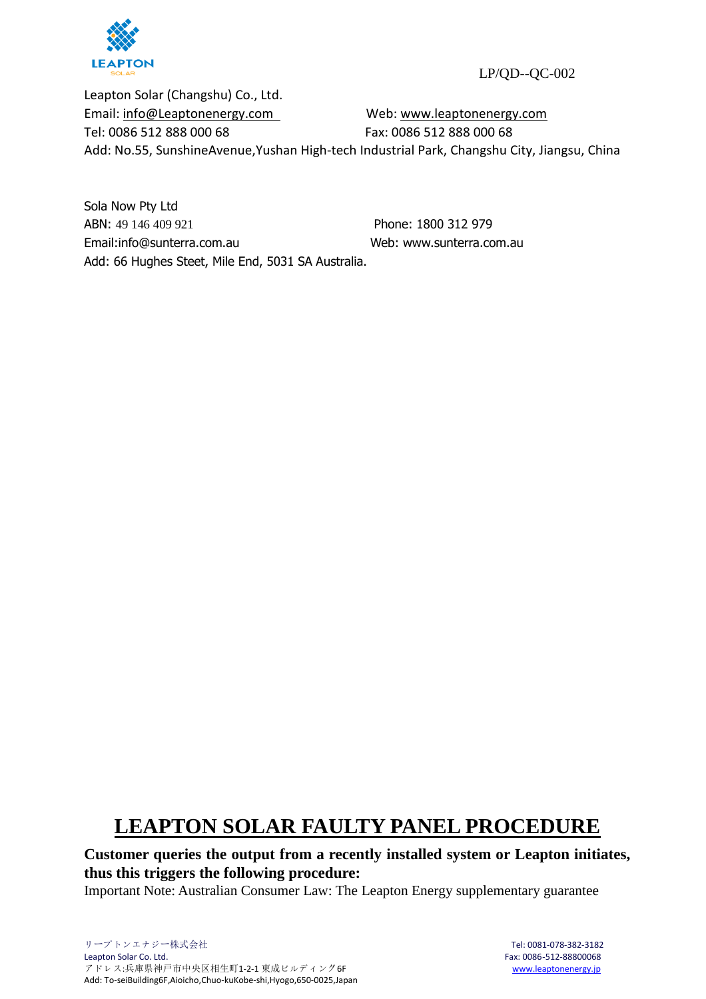

LP/QD--QC-002

Leapton Solar (Changshu) Co., Ltd. Email: [info@Leaptonenergy.com](mailto:info@Leaptonenergy.com) Web: [www.leaptonenergy.com](http://www.leaptonpv.com/) Tel: 0086 512 888 000 68 Fax: 0086 512 888 000 68 Add: No.55, SunshineAvenue,Yushan High-tech Industrial Park, Changshu City, Jiangsu, China

Sola Now Pty Ltd ABN: 49 146 409 921 Phone: 1800 312 979 Email:info@sunterra.com.au [Web: www.sunterra.com.au](https://www.sakuraenergy.com.au/)  Add: 66 Hughes Steet, Mile End, 5031 SA Australia.

## **LEAPTON SOLAR FAULTY PANEL PROCEDURE**

**Customer queries the output from a recently installed system or Leapton initiates, thus this triggers the following procedure:**

Important Note: Australian Consumer Law: The Leapton Energy supplementary guarantee